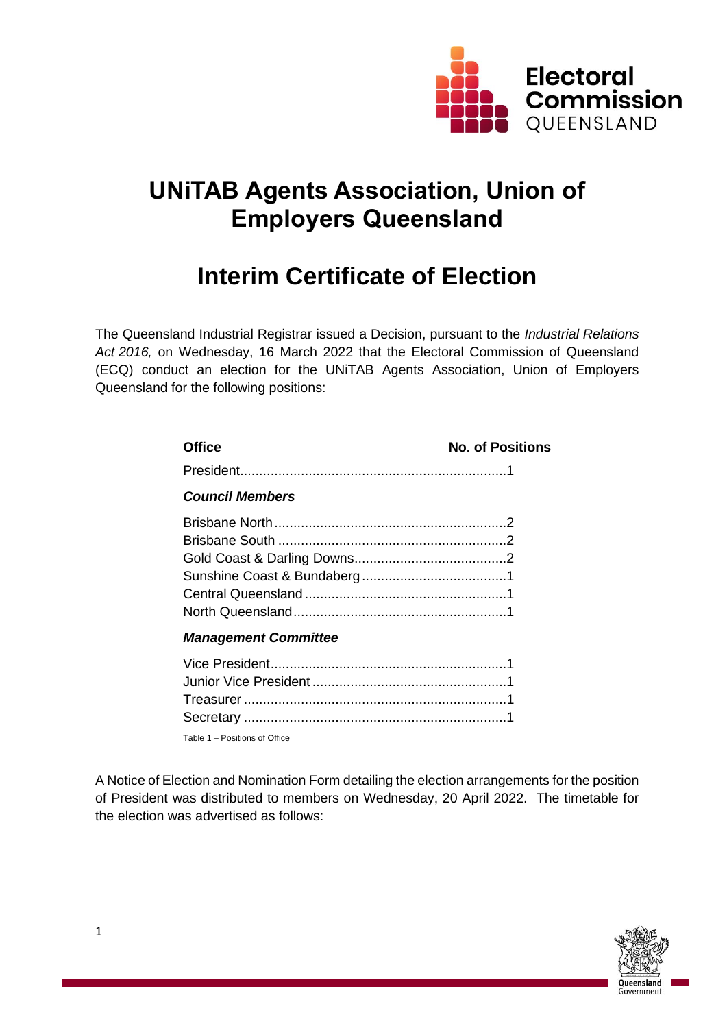

# **UNiTAB Agents Association, Union of Employers Queensland**

# **Interim Certificate of Election**

The Queensland Industrial Registrar issued a Decision, pursuant to the *Industrial Relations Act 2016,* on Wednesday, 16 March 2022 that the Electoral Commission of Queensland (ECQ) conduct an election for the UNiTAB Agents Association, Union of Employers Queensland for the following positions:

| <b>Office</b>               | <b>No. of Positions</b> |
|-----------------------------|-------------------------|
|                             |                         |
| <b>Council Members</b>      |                         |
|                             |                         |
|                             |                         |
|                             |                         |
|                             |                         |
|                             |                         |
|                             |                         |
| <b>Management Committee</b> |                         |
| Vice President              |                         |

Table 1 – Positions of Office

A Notice of Election and Nomination Form detailing the election arrangements for the position of President was distributed to members on Wednesday, 20 April 2022. The timetable for the election was advertised as follows: